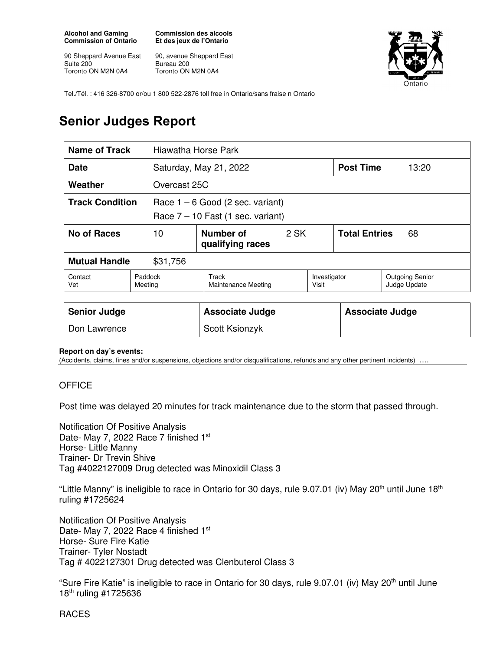**Alcohol and Gaming Commission of Ontario** 

90 Sheppard Avenue East Suite 200 Toronto ON M2N 0A4

**Commission des alcools Et des jeux de l'Ontario** 

90, avenue Sheppard East Bureau 200 Toronto ON M2N 0A4



Tel./Tél. : 416 326-8700 or/ou 1 800 522-2876 toll free in Ontario/sans fraise n Ontario

## **Senior Judges Report**

| <b>Name of Track</b>   |                    | Hiawatha Horse Park                                                       |      |                       |                            |                                        |  |
|------------------------|--------------------|---------------------------------------------------------------------------|------|-----------------------|----------------------------|----------------------------------------|--|
| <b>Date</b>            |                    | Saturday, May 21, 2022                                                    |      |                       | <b>Post Time</b>           | 13:20                                  |  |
| Weather                |                    | Overcast 25C                                                              |      |                       |                            |                                        |  |
| <b>Track Condition</b> |                    | Race $1 - 6$ Good (2 sec. variant)<br>Race $7 - 10$ Fast (1 sec. variant) |      |                       |                            |                                        |  |
| <b>No of Races</b>     | 10                 | Number of<br>qualifying races                                             | 2 SK |                       | <b>Total Entries</b><br>68 |                                        |  |
| <b>Mutual Handle</b>   | \$31,756           |                                                                           |      |                       |                            |                                        |  |
| Contact<br>Vet         | Paddock<br>Meeting | Track<br><b>Maintenance Meeting</b>                                       |      | Investigator<br>Visit |                            | <b>Outgoing Senior</b><br>Judge Update |  |
| <b>Senior Judge</b>    |                    | <b>Associate Judge</b>                                                    |      |                       | <b>Associate Judge</b>     |                                        |  |
| Don Lawrence           |                    | Scott Ksionzyk                                                            |      |                       |                            |                                        |  |

## **Report on day's events:**

(Accidents, claims, fines and/or suspensions, objections and/or disqualifications, refunds and any other pertinent incidents) ….

## **OFFICE**

Post time was delayed 20 minutes for track maintenance due to the storm that passed through.

Notification Of Positive Analysis Date- May 7, 2022 Race 7 finished 1st Horse- Little Manny Trainer- Dr Trevin Shive Tag #4022127009 Drug detected was Minoxidil Class 3

"Little Manny" is ineligible to race in Ontario for 30 days, rule 9.07.01 (iv) May 20<sup>th</sup> until June 18<sup>th</sup> ruling #1725624

Notification Of Positive Analysis Date- May 7, 2022 Race 4 finished 1st Horse- Sure Fire Katie Trainer- Tyler Nostadt Tag # 4022127301 Drug detected was Clenbuterol Class 3

"Sure Fire Katie" is ineligible to race in Ontario for 30 days, rule 9.07.01 (iv) May 20<sup>th</sup> until June 18th ruling #1725636